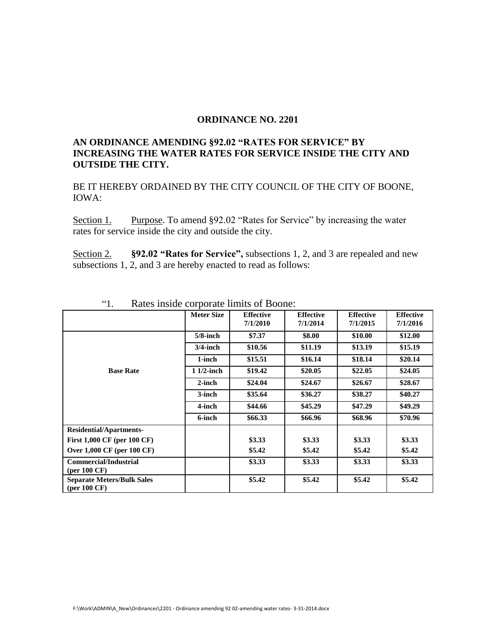## **ORDINANCE NO. 2201**

## **AN ORDINANCE AMENDING §92.02 "RATES FOR SERVICE" BY INCREASING THE WATER RATES FOR SERVICE INSIDE THE CITY AND OUTSIDE THE CITY.**

BE IT HEREBY ORDAINED BY THE CITY COUNCIL OF THE CITY OF BOONE, IOWA:

Section 1. Purpose. To amend §92.02 "Rates for Service" by increasing the water rates for service inside the city and outside the city.

Section 2. **§92.02 "Rates for Service",** subsections 1, 2, and 3 are repealed and new subsections 1, 2, and 3 are hereby enacted to read as follows:

| 1.                                                            | Rails mode corporate minus or Doome. |                              |                              |                              |                              |
|---------------------------------------------------------------|--------------------------------------|------------------------------|------------------------------|------------------------------|------------------------------|
|                                                               | <b>Meter Size</b>                    | <b>Effective</b><br>7/1/2010 | <b>Effective</b><br>7/1/2014 | <b>Effective</b><br>7/1/2015 | <b>Effective</b><br>7/1/2016 |
|                                                               | $5/8$ -inch                          | \$7.37                       | \$8.00                       | \$10.00                      | \$12.00                      |
|                                                               | $3/4$ -inch                          | \$10.56                      | \$11.19                      | \$13.19                      | \$15.19                      |
|                                                               | 1-inch                               | \$15.51                      | \$16.14                      | \$18.14                      | \$20.14                      |
| <b>Base Rate</b>                                              | $11/2$ -inch                         | \$19.42                      | \$20.05                      | \$22.05                      | \$24.05                      |
|                                                               | $2$ -inch                            | \$24.04                      | \$24.67                      | \$26.67                      | \$28.67                      |
|                                                               | 3-inch                               | \$35.64                      | \$36.27                      | \$38.27                      | \$40.27                      |
|                                                               | 4-inch                               | \$44.66                      | \$45.29                      | \$47.29                      | \$49.29                      |
|                                                               | 6-inch                               | \$66.33                      | \$66.96                      | \$68.96                      | \$70.96                      |
| <b>Residential/Apartments-</b>                                |                                      |                              |                              |                              |                              |
| First 1,000 CF (per 100 CF)                                   |                                      | \$3.33                       | \$3.33                       | \$3.33                       | \$3.33                       |
| Over 1,000 CF (per 100 CF)                                    |                                      | \$5.42                       | \$5.42                       | \$5.42                       | \$5.42                       |
| <b>Commercial/Industrial</b><br>$(\text{per }100 \text{ }CF)$ |                                      | \$3.33                       | \$3.33                       | \$3.33                       | \$3.33                       |
| <b>Separate Meters/Bulk Sales</b><br>(per $100 \text{ CF}$ )  |                                      | \$5.42                       | \$5.42                       | \$5.42                       | \$5.42                       |

| cc 1<br>$\mathbf{I}$ . | Rates inside corporate limits of Boone: |  |
|------------------------|-----------------------------------------|--|
|------------------------|-----------------------------------------|--|